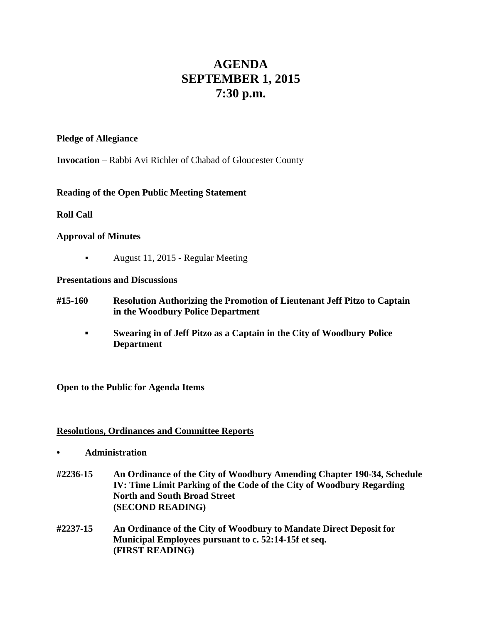# **AGENDA SEPTEMBER 1, 2015 7:30 p.m.**

#### **Pledge of Allegiance**

**Invocation** – Rabbi Avi Richler of Chabad of Gloucester County

## **Reading of the Open Public Meeting Statement**

## **Roll Call**

## **Approval of Minutes**

▪ August 11, 2015 - Regular Meeting

#### **Presentations and Discussions**

- **#15-160 Resolution Authorizing the Promotion of Lieutenant Jeff Pitzo to Captain in the Woodbury Police Department**
	- **▪ Swearing in of Jeff Pitzo as a Captain in the City of Woodbury Police Department**

#### **Open to the Public for Agenda Items**

#### **Resolutions, Ordinances and Committee Reports**

- **• Administration**
- **#2236-15 An Ordinance of the City of Woodbury Amending Chapter 190-34, Schedule IV: Time Limit Parking of the Code of the City of Woodbury Regarding North and South Broad Street (SECOND READING)**
- **#2237-15 An Ordinance of the City of Woodbury to Mandate Direct Deposit for Municipal Employees pursuant to c. 52:14-15f et seq. (FIRST READING)**